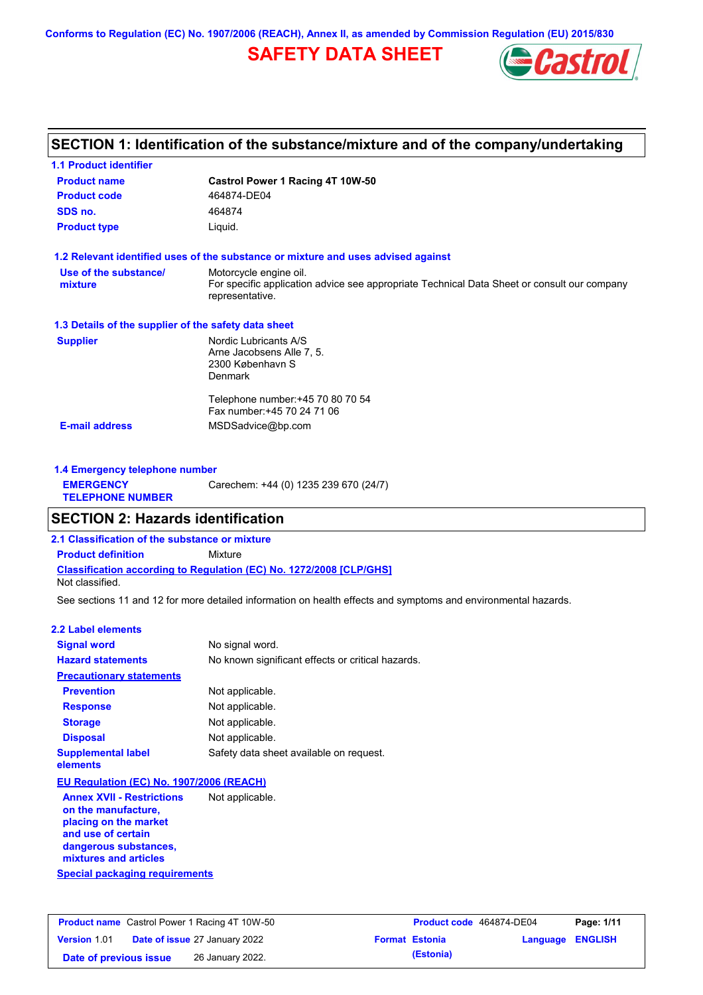**Conforms to Regulation (EC) No. 1907/2006 (REACH), Annex II, as amended by Commission Regulation (EU) 2015/830**

# **SAFETY DATA SHEET**



# **SECTION 1: Identification of the substance/mixture and of the company/undertaking**

| <b>1.1 Product identifier</b><br><b>Product name</b> | Castrol Power 1 Racing 4T 10W-50                                                                                                         |
|------------------------------------------------------|------------------------------------------------------------------------------------------------------------------------------------------|
| <b>Product code</b>                                  | 464874-DE04                                                                                                                              |
| SDS no.                                              | 464874                                                                                                                                   |
| <b>Product type</b>                                  | Liquid.                                                                                                                                  |
|                                                      | 1.2 Relevant identified uses of the substance or mixture and uses advised against                                                        |
| Use of the substance/<br>mixture                     | Motorcycle engine oil.<br>For specific application advice see appropriate Technical Data Sheet or consult our company<br>representative. |
| 1.3 Details of the supplier of the safety data sheet |                                                                                                                                          |
| <b>Supplier</b>                                      | Nordic Lubricants A/S<br>Arne Jacobsens Alle 7, 5.<br>2300 København S<br><b>Denmark</b>                                                 |
|                                                      | Telephone number: +45 70 80 70 54<br>Fax number: +45 70 24 71 06                                                                         |
| <b>E-mail address</b>                                | MSDSadvice@bp.com                                                                                                                        |

| 1.4 Emergency telephone number              |                                       |
|---------------------------------------------|---------------------------------------|
| <b>EMERGENCY</b><br><b>TELEPHONE NUMBER</b> | Carechem: +44 (0) 1235 239 670 (24/7) |

# **SECTION 2: Hazards identification**

**2.1 Classification of the substance or mixture**

**Classification according to Regulation (EC) No. 1272/2008 [CLP/GHS] Product definition** Mixture

Not classified.

See sections 11 and 12 for more detailed information on health effects and symptoms and environmental hazards.

### **2.2 Label elements**

| <b>Signal word</b>                       | No signal word.                                   |
|------------------------------------------|---------------------------------------------------|
| <b>Hazard statements</b>                 | No known significant effects or critical hazards. |
| <b>Precautionary statements</b>          |                                                   |
| <b>Prevention</b>                        | Not applicable.                                   |
| <b>Response</b>                          | Not applicable.                                   |
| <b>Storage</b>                           | Not applicable.                                   |
| <b>Disposal</b>                          | Not applicable.                                   |
| <b>Supplemental label</b><br>elements    | Safety data sheet available on request.           |
| EU Regulation (EC) No. 1907/2006 (REACH) |                                                   |
| <b>Annex XVII - Restrictions</b>         | Not applicable.                                   |

**Special packaging requirements on the manufacture, placing on the market and use of certain dangerous substances, mixtures and articles**

| <b>Product name</b> Castrol Power 1 Racing 4T 10W-50 |  | Product code 464874-DE04             |  | Page: 1/11            |                         |  |
|------------------------------------------------------|--|--------------------------------------|--|-----------------------|-------------------------|--|
| <b>Version 1.01</b>                                  |  | <b>Date of issue 27 January 2022</b> |  | <b>Format Estonia</b> | <b>Language ENGLISH</b> |  |
| Date of previous issue                               |  | 26 January 2022.                     |  | (Estonia)             |                         |  |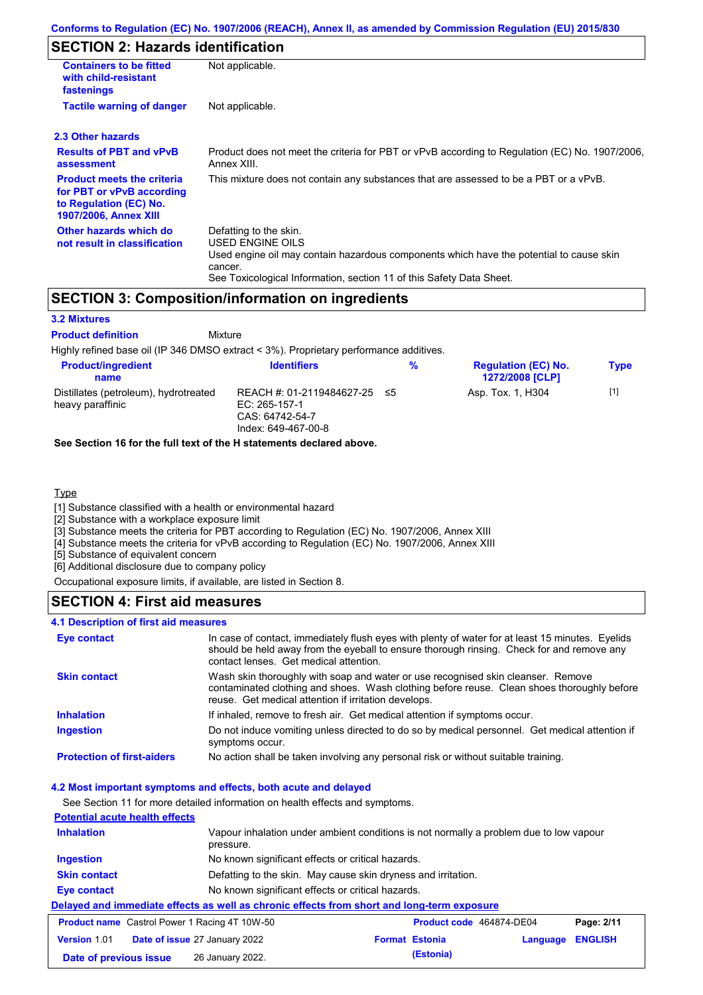# **SECTION 2: Hazards identification**

| <b>Containers to be fitted</b><br>with child-resistant<br>fastenings                                                                                          | Not applicable.                                                                                                                                                                                                          |  |  |  |
|---------------------------------------------------------------------------------------------------------------------------------------------------------------|--------------------------------------------------------------------------------------------------------------------------------------------------------------------------------------------------------------------------|--|--|--|
| <b>Tactile warning of danger</b><br>Not applicable.                                                                                                           |                                                                                                                                                                                                                          |  |  |  |
| 2.3 Other hazards                                                                                                                                             |                                                                                                                                                                                                                          |  |  |  |
| <b>Results of PBT and vPvB</b><br>Product does not meet the criteria for PBT or vPvB according to Regulation (EC) No. 1907/2006,<br>Annex XIII.<br>assessment |                                                                                                                                                                                                                          |  |  |  |
| <b>Product meets the criteria</b><br>for PBT or vPvB according<br>to Regulation (EC) No.<br><b>1907/2006, Annex XIII</b>                                      | This mixture does not contain any substances that are assessed to be a PBT or a vPvB.                                                                                                                                    |  |  |  |
| Other hazards which do<br>not result in classification                                                                                                        | Defatting to the skin.<br>USED ENGINE OILS<br>Used engine oil may contain hazardous components which have the potential to cause skin<br>cancer.<br>See Toxicological Information, section 11 of this Safety Data Sheet. |  |  |  |

### **SECTION 3: Composition/information on ingredients**

**Mixture** 

### **3.2 Mixtures**

**Product definition**

Highly refined base oil (IP 346 DMSO extract < 3%). Proprietary performance additives.

| <b>Product/ingredient</b><br>name                         | <b>Identifiers</b>                                                                      | % | <b>Regulation (EC) No.</b><br><b>1272/2008 [CLP]</b> | <b>Type</b> |  |
|-----------------------------------------------------------|-----------------------------------------------------------------------------------------|---|------------------------------------------------------|-------------|--|
| Distillates (petroleum), hydrotreated<br>heavy paraffinic | REACH #: 01-2119484627-25 ≤5<br>EC: 265-157-1<br>CAS: 64742-54-7<br>Index: 649-467-00-8 |   | Asp. Tox. 1, H304                                    | [1]         |  |

### **See Section 16 for the full text of the H statements declared above.**

### **Type**

[1] Substance classified with a health or environmental hazard

[2] Substance with a workplace exposure limit

[3] Substance meets the criteria for PBT according to Regulation (EC) No. 1907/2006, Annex XIII

[4] Substance meets the criteria for vPvB according to Regulation (EC) No. 1907/2006, Annex XIII

[5] Substance of equivalent concern

[6] Additional disclosure due to company policy

Occupational exposure limits, if available, are listed in Section 8.

## **SECTION 4: First aid measures**

### **4.1 Description of first aid measures**

| <b>Eye contact</b>                | In case of contact, immediately flush eyes with plenty of water for at least 15 minutes. Eyelids<br>should be held away from the eyeball to ensure thorough rinsing. Check for and remove any<br>contact lenses. Get medical attention. |
|-----------------------------------|-----------------------------------------------------------------------------------------------------------------------------------------------------------------------------------------------------------------------------------------|
| <b>Skin contact</b>               | Wash skin thoroughly with soap and water or use recognised skin cleanser. Remove<br>contaminated clothing and shoes. Wash clothing before reuse. Clean shoes thoroughly before<br>reuse. Get medical attention if irritation develops.  |
| <b>Inhalation</b>                 | If inhaled, remove to fresh air. Get medical attention if symptoms occur.                                                                                                                                                               |
| <b>Ingestion</b>                  | Do not induce vomiting unless directed to do so by medical personnel. Get medical attention if<br>symptoms occur.                                                                                                                       |
| <b>Protection of first-aiders</b> | No action shall be taken involving any personal risk or without suitable training.                                                                                                                                                      |

#### **4.2 Most important symptoms and effects, both acute and delayed**

See Section 11 for more detailed information on health effects and symptoms. **Potential acute health effects Inhalation** Vapour inhalation under ambient conditions is not normally a problem due to low vapour pressure. **Ingestion** No known significant effects or critical hazards. **Skin contact** Defatting to the skin. May cause skin dryness and irritation. **Eye contact** No known significant effects or critical hazards. **Delayed and immediate effects as well as chronic effects from short and long-term exposure Product name** Castrol Power 1 Racing 4T 10W-50 **Product Code 464874-DE04 Page: 2/11 Version** 1.01 **Date of issue** 27 January 2022 **Format Estonia Language ENGLISH Date of previous issue (Estonia)** 26 January 2022.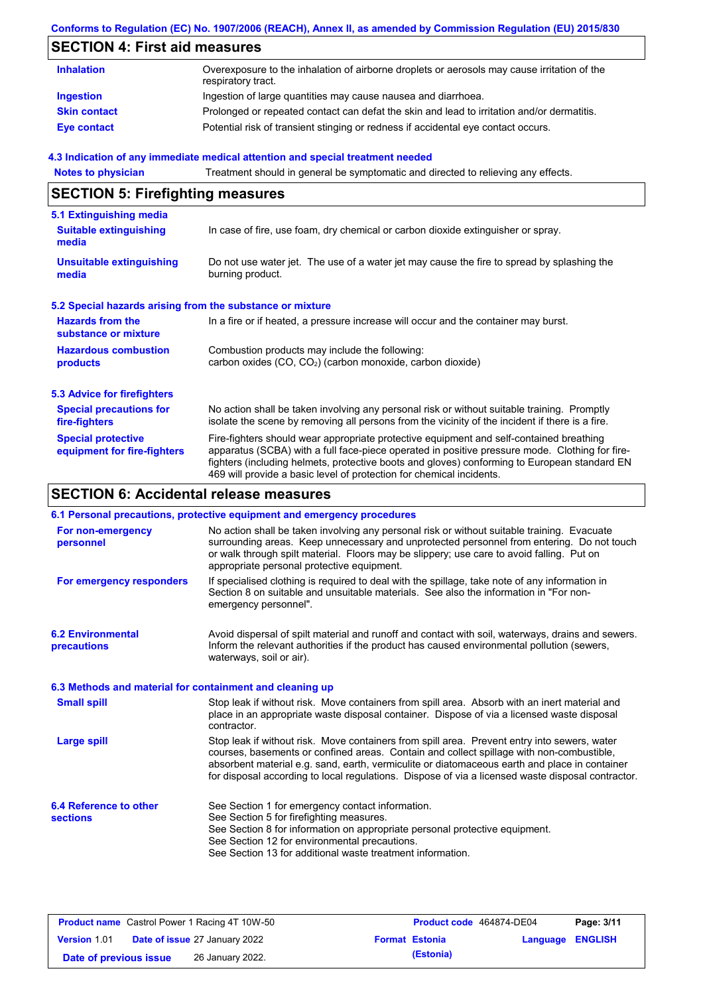### **Conforms to Regulation (EC) No. 1907/2006 (REACH), Annex II, as amended by Commission Regulation (EU) 2015/830**

# **SECTION 4: First aid measures**

| <b>Inhalation</b>   | Overexposure to the inhalation of airborne droplets or aerosols may cause irritation of the<br>respiratory tract. |
|---------------------|-------------------------------------------------------------------------------------------------------------------|
| Ingestion           | Ingestion of large quantities may cause nausea and diarrhoea.                                                     |
| <b>Skin contact</b> | Prolonged or repeated contact can defat the skin and lead to irritation and/or dermatitis.                        |
| Eye contact         | Potential risk of transient stinging or redness if accidental eye contact occurs.                                 |

### **4.3 Indication of any immediate medical attention and special treatment needed**

| <b>Notes to physician</b>                                 | Treatment should in general be symptomatic and directed to relieving any effects.                                                                                                                                                                                                                                                                                 |  |  |  |  |  |
|-----------------------------------------------------------|-------------------------------------------------------------------------------------------------------------------------------------------------------------------------------------------------------------------------------------------------------------------------------------------------------------------------------------------------------------------|--|--|--|--|--|
| <b>SECTION 5: Firefighting measures</b>                   |                                                                                                                                                                                                                                                                                                                                                                   |  |  |  |  |  |
| 5.1 Extinguishing media                                   |                                                                                                                                                                                                                                                                                                                                                                   |  |  |  |  |  |
| <b>Suitable extinguishing</b><br>media                    | In case of fire, use foam, dry chemical or carbon dioxide extinguisher or spray.                                                                                                                                                                                                                                                                                  |  |  |  |  |  |
| <b>Unsuitable extinguishing</b><br>media                  | Do not use water jet. The use of a water jet may cause the fire to spread by splashing the<br>burning product.                                                                                                                                                                                                                                                    |  |  |  |  |  |
| 5.2 Special hazards arising from the substance or mixture |                                                                                                                                                                                                                                                                                                                                                                   |  |  |  |  |  |
| <b>Hazards from the</b><br>substance or mixture           | In a fire or if heated, a pressure increase will occur and the container may burst.                                                                                                                                                                                                                                                                               |  |  |  |  |  |
| <b>Hazardous combustion</b>                               | Combustion products may include the following:                                                                                                                                                                                                                                                                                                                    |  |  |  |  |  |
| products                                                  | carbon oxides (CO, CO <sub>2</sub> ) (carbon monoxide, carbon dioxide)                                                                                                                                                                                                                                                                                            |  |  |  |  |  |
| <b>5.3 Advice for firefighters</b>                        |                                                                                                                                                                                                                                                                                                                                                                   |  |  |  |  |  |
| <b>Special precautions for</b><br>fire-fighters           | No action shall be taken involving any personal risk or without suitable training. Promptly<br>isolate the scene by removing all persons from the vicinity of the incident if there is a fire.                                                                                                                                                                    |  |  |  |  |  |
| <b>Special protective</b><br>equipment for fire-fighters  | Fire-fighters should wear appropriate protective equipment and self-contained breathing<br>apparatus (SCBA) with a full face-piece operated in positive pressure mode. Clothing for fire-<br>fighters (including helmets, protective boots and gloves) conforming to European standard EN<br>469 will provide a basic level of protection for chemical incidents. |  |  |  |  |  |

# **SECTION 6: Accidental release measures**

|                                                                                                                                                                                                                                                                                                                                                                       | 6.1 Personal precautions, protective equipment and emergency procedures                                                                                                                                                                                                                                                                                                                        |  |  |  |
|-----------------------------------------------------------------------------------------------------------------------------------------------------------------------------------------------------------------------------------------------------------------------------------------------------------------------------------------------------------------------|------------------------------------------------------------------------------------------------------------------------------------------------------------------------------------------------------------------------------------------------------------------------------------------------------------------------------------------------------------------------------------------------|--|--|--|
| No action shall be taken involving any personal risk or without suitable training. Evacuate<br>For non-emergency<br>surrounding areas. Keep unnecessary and unprotected personnel from entering. Do not touch<br>personnel<br>or walk through spilt material. Floors may be slippery; use care to avoid falling. Put on<br>appropriate personal protective equipment. |                                                                                                                                                                                                                                                                                                                                                                                                |  |  |  |
| For emergency responders                                                                                                                                                                                                                                                                                                                                              | If specialised clothing is required to deal with the spillage, take note of any information in<br>Section 8 on suitable and unsuitable materials. See also the information in "For non-<br>emergency personnel".                                                                                                                                                                               |  |  |  |
| <b>6.2 Environmental</b><br><b>precautions</b>                                                                                                                                                                                                                                                                                                                        | Avoid dispersal of spilt material and runoff and contact with soil, waterways, drains and sewers.<br>Inform the relevant authorities if the product has caused environmental pollution (sewers,<br>waterways, soil or air).                                                                                                                                                                    |  |  |  |
| 6.3 Methods and material for containment and cleaning up                                                                                                                                                                                                                                                                                                              |                                                                                                                                                                                                                                                                                                                                                                                                |  |  |  |
| <b>Small spill</b>                                                                                                                                                                                                                                                                                                                                                    | Stop leak if without risk. Move containers from spill area. Absorb with an inert material and<br>place in an appropriate waste disposal container. Dispose of via a licensed waste disposal<br>contractor.                                                                                                                                                                                     |  |  |  |
| <b>Large spill</b>                                                                                                                                                                                                                                                                                                                                                    | Stop leak if without risk. Move containers from spill area. Prevent entry into sewers, water<br>courses, basements or confined areas. Contain and collect spillage with non-combustible,<br>absorbent material e.g. sand, earth, vermiculite or diatomaceous earth and place in container<br>for disposal according to local regulations. Dispose of via a licensed waste disposal contractor. |  |  |  |
| 6.4 Reference to other<br><b>sections</b>                                                                                                                                                                                                                                                                                                                             | See Section 1 for emergency contact information.<br>See Section 5 for firefighting measures.<br>See Section 8 for information on appropriate personal protective equipment.<br>See Section 12 for environmental precautions.<br>See Section 13 for additional waste treatment information.                                                                                                     |  |  |  |

| <b>Product name</b> Castrol Power 1 Racing 4T 10W-50 |  | Product code 464874-DE04             |  | Page: 3/11            |                         |  |
|------------------------------------------------------|--|--------------------------------------|--|-----------------------|-------------------------|--|
| <b>Version 1.01</b>                                  |  | <b>Date of issue 27 January 2022</b> |  | <b>Format Estonia</b> | <b>Language ENGLISH</b> |  |
| Date of previous issue                               |  | 26 January 2022.                     |  | (Estonia)             |                         |  |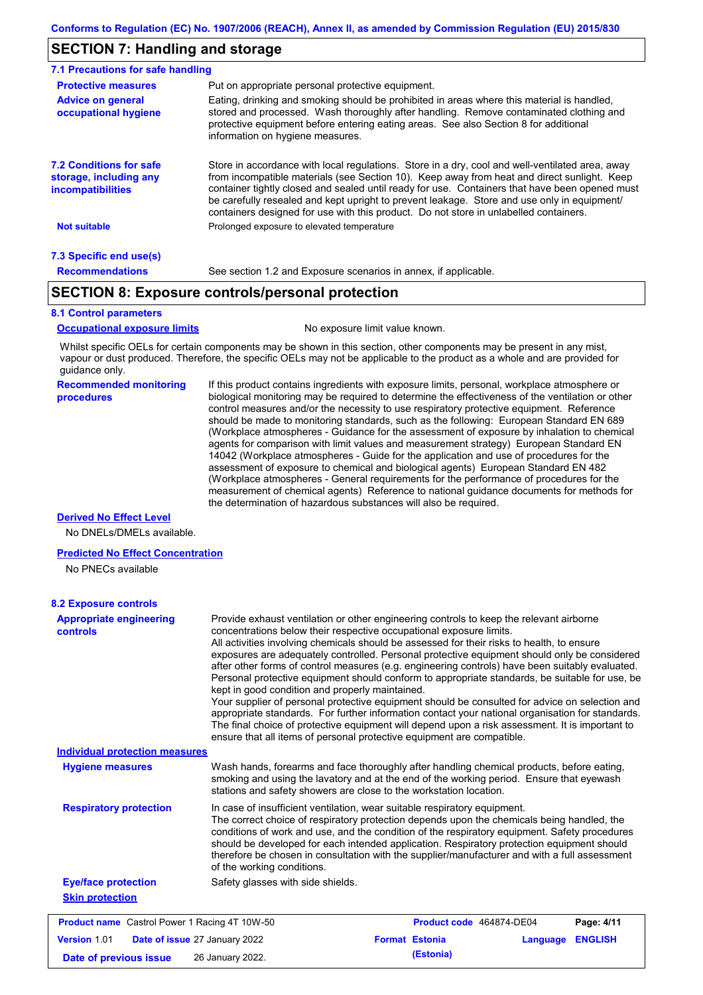# **SECTION 7: Handling and storage**

| 7.1 Precautions for safe handling                                                                                                                                                                                                                                                                                                                                    |                                                                                                                                                                                                                                                                                                                                                                                                                                                                                          |  |  |  |  |
|----------------------------------------------------------------------------------------------------------------------------------------------------------------------------------------------------------------------------------------------------------------------------------------------------------------------------------------------------------------------|------------------------------------------------------------------------------------------------------------------------------------------------------------------------------------------------------------------------------------------------------------------------------------------------------------------------------------------------------------------------------------------------------------------------------------------------------------------------------------------|--|--|--|--|
| <b>Protective measures</b><br>Put on appropriate personal protective equipment.                                                                                                                                                                                                                                                                                      |                                                                                                                                                                                                                                                                                                                                                                                                                                                                                          |  |  |  |  |
| Eating, drinking and smoking should be prohibited in areas where this material is handled,<br><b>Advice on general</b><br>stored and processed. Wash thoroughly after handling. Remove contaminated clothing and<br>occupational hygiene<br>protective equipment before entering eating areas. See also Section 8 for additional<br>information on hygiene measures. |                                                                                                                                                                                                                                                                                                                                                                                                                                                                                          |  |  |  |  |
| <b>7.2 Conditions for safe</b><br>storage, including any<br><i>incompatibilities</i>                                                                                                                                                                                                                                                                                 | Store in accordance with local requlations. Store in a dry, cool and well-ventilated area, away<br>from incompatible materials (see Section 10). Keep away from heat and direct sunlight. Keep<br>container tightly closed and sealed until ready for use. Containers that have been opened must<br>be carefully resealed and kept upright to prevent leakage. Store and use only in equipment/<br>containers designed for use with this product. Do not store in unlabelled containers. |  |  |  |  |
| <b>Not suitable</b>                                                                                                                                                                                                                                                                                                                                                  | Prolonged exposure to elevated temperature                                                                                                                                                                                                                                                                                                                                                                                                                                               |  |  |  |  |
| 7.3 Specific end use(s)                                                                                                                                                                                                                                                                                                                                              |                                                                                                                                                                                                                                                                                                                                                                                                                                                                                          |  |  |  |  |
| <b>Recommendations</b>                                                                                                                                                                                                                                                                                                                                               | See section 1.2 and Exposure scenarios in annex, if applicable.                                                                                                                                                                                                                                                                                                                                                                                                                          |  |  |  |  |

# **SECTION 8: Exposure controls/personal protection**

### **8.1 Control parameters**

**Occupational exposure limits** No exposure limit value known.

Whilst specific OELs for certain components may be shown in this section, other components may be present in any mist, vapour or dust produced. Therefore, the specific OELs may not be applicable to the product as a whole and are provided for guidance only.

#### **Recommended monitoring procedures**

If this product contains ingredients with exposure limits, personal, workplace atmosphere or biological monitoring may be required to determine the effectiveness of the ventilation or other control measures and/or the necessity to use respiratory protective equipment. Reference should be made to monitoring standards, such as the following: European Standard EN 689 (Workplace atmospheres - Guidance for the assessment of exposure by inhalation to chemical agents for comparison with limit values and measurement strategy) European Standard EN 14042 (Workplace atmospheres - Guide for the application and use of procedures for the assessment of exposure to chemical and biological agents) European Standard EN 482 (Workplace atmospheres - General requirements for the performance of procedures for the measurement of chemical agents) Reference to national guidance documents for methods for the determination of hazardous substances will also be required.

### **Derived No Effect Level**

No DNELs/DMELs available.

#### **Predicted No Effect Concentration**

No PNECs available

| <b>Appropriate engineering</b><br>controls           | Provide exhaust ventilation or other engineering controls to keep the relevant airborne<br>concentrations below their respective occupational exposure limits.<br>All activities involving chemicals should be assessed for their risks to health, to ensure<br>exposures are adequately controlled. Personal protective equipment should only be considered<br>after other forms of control measures (e.g. engineering controls) have been suitably evaluated.<br>Personal protective equipment should conform to appropriate standards, be suitable for use, be<br>kept in good condition and properly maintained.<br>Your supplier of personal protective equipment should be consulted for advice on selection and<br>appropriate standards. For further information contact your national organisation for standards.<br>The final choice of protective equipment will depend upon a risk assessment. It is important to<br>ensure that all items of personal protective equipment are compatible. |
|------------------------------------------------------|---------------------------------------------------------------------------------------------------------------------------------------------------------------------------------------------------------------------------------------------------------------------------------------------------------------------------------------------------------------------------------------------------------------------------------------------------------------------------------------------------------------------------------------------------------------------------------------------------------------------------------------------------------------------------------------------------------------------------------------------------------------------------------------------------------------------------------------------------------------------------------------------------------------------------------------------------------------------------------------------------------|
| <b>Individual protection measures</b>                |                                                                                                                                                                                                                                                                                                                                                                                                                                                                                                                                                                                                                                                                                                                                                                                                                                                                                                                                                                                                         |
| <b>Hygiene measures</b>                              | Wash hands, forearms and face thoroughly after handling chemical products, before eating,<br>smoking and using the lavatory and at the end of the working period. Ensure that eyewash<br>stations and safety showers are close to the workstation location.                                                                                                                                                                                                                                                                                                                                                                                                                                                                                                                                                                                                                                                                                                                                             |
| <b>Respiratory protection</b>                        | In case of insufficient ventilation, wear suitable respiratory equipment.<br>The correct choice of respiratory protection depends upon the chemicals being handled, the<br>conditions of work and use, and the condition of the respiratory equipment. Safety procedures<br>should be developed for each intended application. Respiratory protection equipment should<br>therefore be chosen in consultation with the supplier/manufacturer and with a full assessment<br>of the working conditions.                                                                                                                                                                                                                                                                                                                                                                                                                                                                                                   |
| <b>Eye/face protection</b>                           | Safety glasses with side shields.                                                                                                                                                                                                                                                                                                                                                                                                                                                                                                                                                                                                                                                                                                                                                                                                                                                                                                                                                                       |
| <b>Skin protection</b>                               |                                                                                                                                                                                                                                                                                                                                                                                                                                                                                                                                                                                                                                                                                                                                                                                                                                                                                                                                                                                                         |
| <b>Product name</b> Castrol Power 1 Racing 4T 10W-50 | Product code 464874-DE04<br>Page: 4/11                                                                                                                                                                                                                                                                                                                                                                                                                                                                                                                                                                                                                                                                                                                                                                                                                                                                                                                                                                  |
| <b>Version 1.01</b>                                  | <b>Format Estonia</b><br><b>ENGLISH</b><br>Date of issue 27 January 2022<br>Language                                                                                                                                                                                                                                                                                                                                                                                                                                                                                                                                                                                                                                                                                                                                                                                                                                                                                                                    |
| Date of previous issue                               | (Estonia)<br>26 January 2022.                                                                                                                                                                                                                                                                                                                                                                                                                                                                                                                                                                                                                                                                                                                                                                                                                                                                                                                                                                           |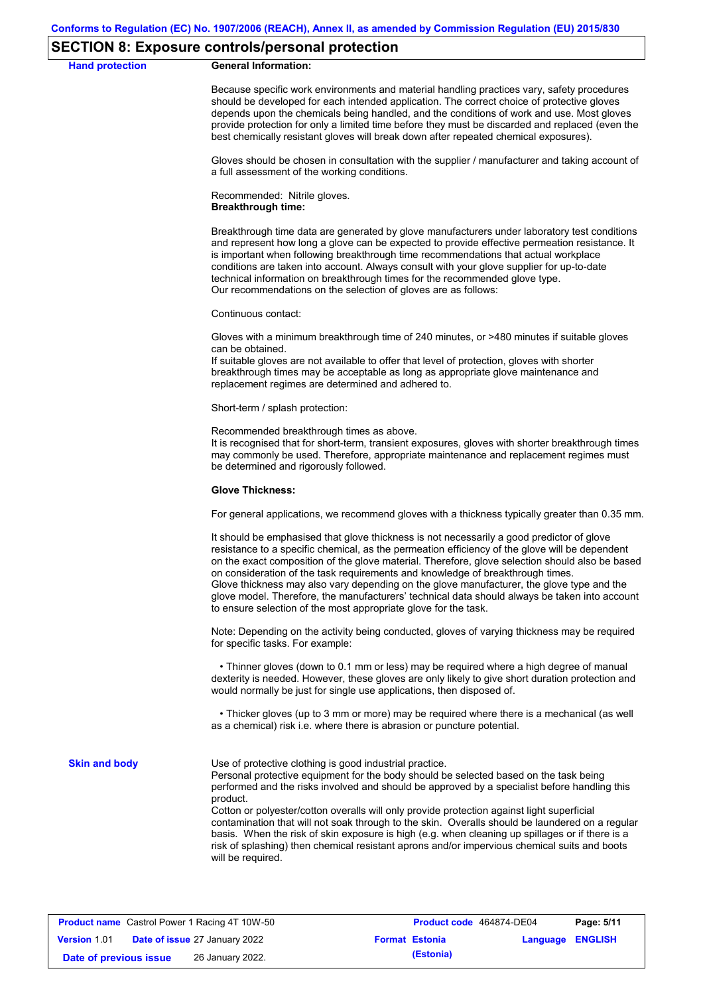### **SECTION 8: Exposure controls/personal protection**

#### **Hand protection General Information:**

Because specific work environments and material handling practices vary, safety procedures should be developed for each intended application. The correct choice of protective gloves depends upon the chemicals being handled, and the conditions of work and use. Most gloves provide protection for only a limited time before they must be discarded and replaced (even the best chemically resistant gloves will break down after repeated chemical exposures).

Gloves should be chosen in consultation with the supplier / manufacturer and taking account of a full assessment of the working conditions.

Recommended: Nitrile gloves. **Breakthrough time:**

Breakthrough time data are generated by glove manufacturers under laboratory test conditions and represent how long a glove can be expected to provide effective permeation resistance. It is important when following breakthrough time recommendations that actual workplace conditions are taken into account. Always consult with your glove supplier for up-to-date technical information on breakthrough times for the recommended glove type. Our recommendations on the selection of gloves are as follows:

Continuous contact:

Gloves with a minimum breakthrough time of 240 minutes, or >480 minutes if suitable gloves can be obtained.

If suitable gloves are not available to offer that level of protection, gloves with shorter breakthrough times may be acceptable as long as appropriate glove maintenance and replacement regimes are determined and adhered to.

Short-term / splash protection:

Recommended breakthrough times as above.

It is recognised that for short-term, transient exposures, gloves with shorter breakthrough times may commonly be used. Therefore, appropriate maintenance and replacement regimes must be determined and rigorously followed.

#### **Glove Thickness:**

For general applications, we recommend gloves with a thickness typically greater than 0.35 mm.

It should be emphasised that glove thickness is not necessarily a good predictor of glove resistance to a specific chemical, as the permeation efficiency of the glove will be dependent on the exact composition of the glove material. Therefore, glove selection should also be based on consideration of the task requirements and knowledge of breakthrough times. Glove thickness may also vary depending on the glove manufacturer, the glove type and the glove model. Therefore, the manufacturers' technical data should always be taken into account to ensure selection of the most appropriate glove for the task.

Note: Depending on the activity being conducted, gloves of varying thickness may be required for specific tasks. For example:

 • Thinner gloves (down to 0.1 mm or less) may be required where a high degree of manual dexterity is needed. However, these gloves are only likely to give short duration protection and would normally be just for single use applications, then disposed of.

 • Thicker gloves (up to 3 mm or more) may be required where there is a mechanical (as well as a chemical) risk i.e. where there is abrasion or puncture potential.

**Skin and body**

Use of protective clothing is good industrial practice.

Personal protective equipment for the body should be selected based on the task being performed and the risks involved and should be approved by a specialist before handling this product.

Cotton or polyester/cotton overalls will only provide protection against light superficial contamination that will not soak through to the skin. Overalls should be laundered on a regular basis. When the risk of skin exposure is high (e.g. when cleaning up spillages or if there is a risk of splashing) then chemical resistant aprons and/or impervious chemical suits and boots will be required.

|                        | <b>Product name</b> Castrol Power 1 Racing 4T 10W-50 | Product code 464874-DE04 |                         | Page: 5/11 |
|------------------------|------------------------------------------------------|--------------------------|-------------------------|------------|
| <b>Version 1.01</b>    | <b>Date of issue 27 January 2022</b>                 | <b>Format Estonia</b>    | <b>Language ENGLISH</b> |            |
| Date of previous issue | 26 January 2022.                                     | (Estonia)                |                         |            |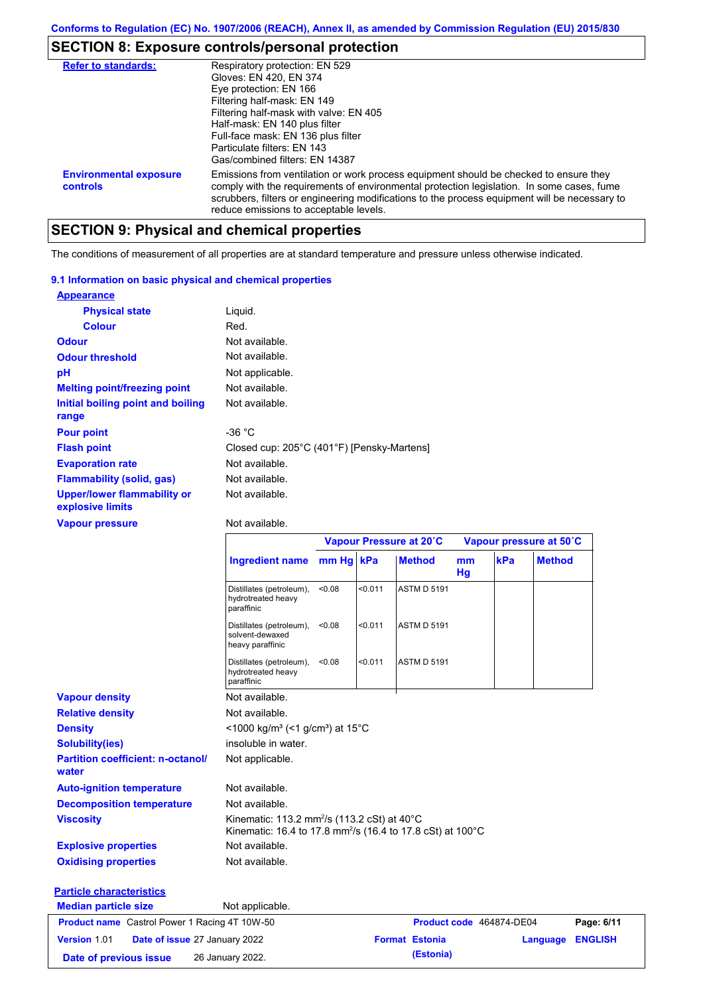# **SECTION 8: Exposure controls/personal protection**

| <b>Refer to standards:</b>                | Respiratory protection: EN 529<br>Gloves: EN 420, EN 374<br>Eye protection: EN 166<br>Filtering half-mask: EN 149<br>Filtering half-mask with valve: EN 405<br>Half-mask: EN 140 plus filter<br>Full-face mask: EN 136 plus filter<br>Particulate filters: FN 143<br>Gas/combined filters: EN 14387                           |
|-------------------------------------------|-------------------------------------------------------------------------------------------------------------------------------------------------------------------------------------------------------------------------------------------------------------------------------------------------------------------------------|
| <b>Environmental exposure</b><br>controls | Emissions from ventilation or work process equipment should be checked to ensure they<br>comply with the requirements of environmental protection legislation. In some cases, fume<br>scrubbers, filters or engineering modifications to the process equipment will be necessary to<br>reduce emissions to acceptable levels. |

# **SECTION 9: Physical and chemical properties**

The conditions of measurement of all properties are at standard temperature and pressure unless otherwise indicated.

### **9.1 Information on basic physical and chemical properties**

| <b>Appearance</b>                                      |                                            |
|--------------------------------------------------------|--------------------------------------------|
| <b>Physical state</b>                                  | Liquid.                                    |
| <b>Colour</b>                                          | Red.                                       |
| <b>Odour</b>                                           | Not available.                             |
| <b>Odour threshold</b>                                 | Not available.                             |
| рH                                                     | Not applicable.                            |
| <b>Melting point/freezing point</b>                    | Not available.                             |
| Initial boiling point and boiling<br>range             | Not available.                             |
| <b>Pour point</b>                                      | -36 $^{\circ}$ C                           |
| <b>Flash point</b>                                     | Closed cup: 205°C (401°F) [Pensky-Martens] |
| <b>Evaporation rate</b>                                | Not available.                             |
| <b>Flammability (solid, gas)</b>                       | Not available.                             |
| <b>Upper/lower flammability or</b><br>explosive limits | Not available.                             |

### **Vapour pressure**

Not available.

|                                                      |                                                                                                                                    |        |         | Vapour Pressure at 20°C |          | Vapour pressure at 50°C  |               |                |
|------------------------------------------------------|------------------------------------------------------------------------------------------------------------------------------------|--------|---------|-------------------------|----------|--------------------------|---------------|----------------|
|                                                      | Ingredient name mm Hg kPa                                                                                                          |        |         | <b>Method</b>           | mm<br>Hg | kPa                      | <b>Method</b> |                |
|                                                      | Distillates (petroleum),<br>hydrotreated heavy<br>paraffinic                                                                       | < 0.08 | < 0.011 | <b>ASTM D 5191</b>      |          |                          |               |                |
|                                                      | Distillates (petroleum),<br>solvent-dewaxed<br>heavy paraffinic                                                                    | < 0.08 | < 0.011 | <b>ASTM D 5191</b>      |          |                          |               |                |
|                                                      | Distillates (petroleum),<br>hydrotreated heavy<br>paraffinic                                                                       | < 0.08 | < 0.011 | <b>ASTM D 5191</b>      |          |                          |               |                |
| <b>Vapour density</b>                                | Not available.                                                                                                                     |        |         |                         |          |                          |               |                |
| <b>Relative density</b>                              | Not available.                                                                                                                     |        |         |                         |          |                          |               |                |
| <b>Density</b>                                       | <1000 kg/m <sup>3</sup> (<1 g/cm <sup>3</sup> ) at 15 <sup>°</sup> C                                                               |        |         |                         |          |                          |               |                |
| <b>Solubility(ies)</b>                               | insoluble in water.                                                                                                                |        |         |                         |          |                          |               |                |
| <b>Partition coefficient: n-octanol/</b><br>water    | Not applicable.                                                                                                                    |        |         |                         |          |                          |               |                |
| <b>Auto-ignition temperature</b>                     | Not available.                                                                                                                     |        |         |                         |          |                          |               |                |
| <b>Decomposition temperature</b>                     | Not available.                                                                                                                     |        |         |                         |          |                          |               |                |
| <b>Viscosity</b>                                     | Kinematic: 113.2 mm <sup>2</sup> /s (113.2 cSt) at 40°C<br>Kinematic: 16.4 to 17.8 mm <sup>2</sup> /s (16.4 to 17.8 cSt) at 100 °C |        |         |                         |          |                          |               |                |
| <b>Explosive properties</b>                          | Not available.                                                                                                                     |        |         |                         |          |                          |               |                |
| <b>Oxidising properties</b>                          | Not available.                                                                                                                     |        |         |                         |          |                          |               |                |
| <b>Particle characteristics</b>                      |                                                                                                                                    |        |         |                         |          |                          |               |                |
| <b>Median particle size</b>                          | Not applicable.                                                                                                                    |        |         |                         |          |                          |               |                |
| <b>Product name</b> Castrol Power 1 Racing 4T 10W-50 |                                                                                                                                    |        |         |                         |          | Product code 464874-DE04 |               | Page: 6/11     |
| Version 1.01<br>Date of issue 27 January 2022        |                                                                                                                                    |        |         | <b>Format Estonia</b>   |          |                          | Language      | <b>ENGLISH</b> |
| Date of previous issue                               | 26 January 2022.                                                                                                                   |        |         | (Estonia)               |          |                          |               |                |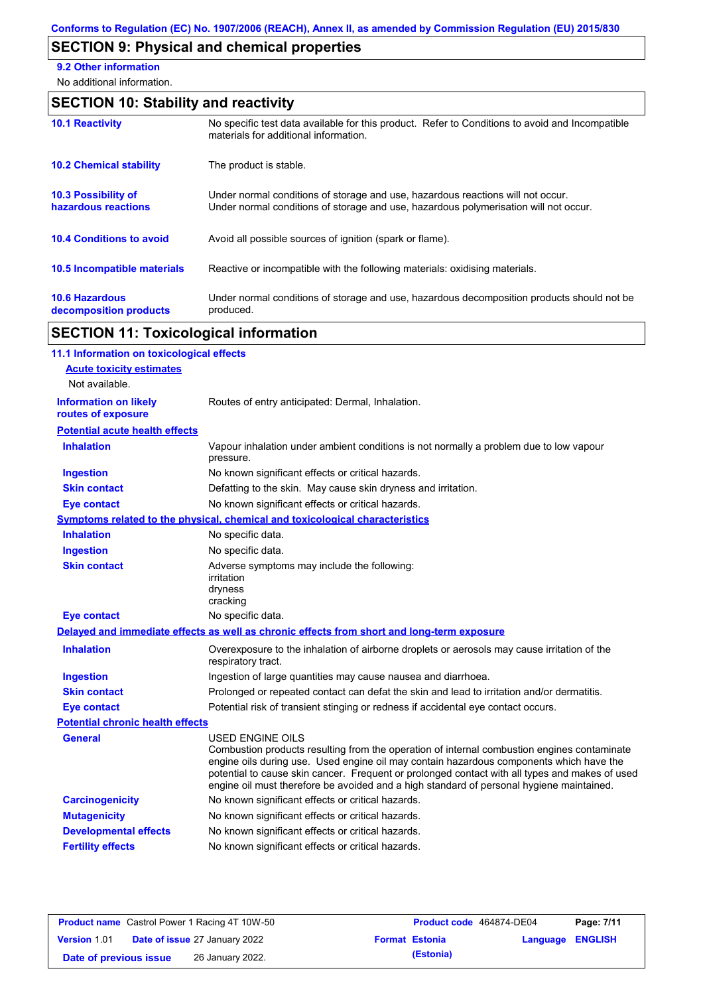# **SECTION 9: Physical and chemical properties**

**9.2 Other information**

No additional information.

# **SECTION 10: Stability and reactivity**

| <b>10.1 Reactivity</b>                            | No specific test data available for this product. Refer to Conditions to avoid and Incompatible<br>materials for additional information.                                |
|---------------------------------------------------|-------------------------------------------------------------------------------------------------------------------------------------------------------------------------|
| <b>10.2 Chemical stability</b>                    | The product is stable.                                                                                                                                                  |
| <b>10.3 Possibility of</b><br>hazardous reactions | Under normal conditions of storage and use, hazardous reactions will not occur.<br>Under normal conditions of storage and use, hazardous polymerisation will not occur. |
| <b>10.4 Conditions to avoid</b>                   | Avoid all possible sources of ignition (spark or flame).                                                                                                                |
| <b>10.5 Incompatible materials</b>                | Reactive or incompatible with the following materials: oxidising materials.                                                                                             |
| <b>10.6 Hazardous</b><br>decomposition products   | Under normal conditions of storage and use, hazardous decomposition products should not be<br>produced.                                                                 |

# **SECTION 11: Toxicological information**

| 11.1 Information on toxicological effects          |                                                                                                                                                                                                                                                                                                                                                                                                                 |
|----------------------------------------------------|-----------------------------------------------------------------------------------------------------------------------------------------------------------------------------------------------------------------------------------------------------------------------------------------------------------------------------------------------------------------------------------------------------------------|
| <b>Acute toxicity estimates</b><br>Not available.  |                                                                                                                                                                                                                                                                                                                                                                                                                 |
| <b>Information on likely</b><br>routes of exposure | Routes of entry anticipated: Dermal, Inhalation.                                                                                                                                                                                                                                                                                                                                                                |
| <b>Potential acute health effects</b>              |                                                                                                                                                                                                                                                                                                                                                                                                                 |
| <b>Inhalation</b>                                  | Vapour inhalation under ambient conditions is not normally a problem due to low vapour<br>pressure.                                                                                                                                                                                                                                                                                                             |
| <b>Ingestion</b>                                   | No known significant effects or critical hazards.                                                                                                                                                                                                                                                                                                                                                               |
| <b>Skin contact</b>                                | Defatting to the skin. May cause skin dryness and irritation.                                                                                                                                                                                                                                                                                                                                                   |
| <b>Eye contact</b>                                 | No known significant effects or critical hazards.                                                                                                                                                                                                                                                                                                                                                               |
|                                                    | <b>Symptoms related to the physical, chemical and toxicological characteristics</b>                                                                                                                                                                                                                                                                                                                             |
| <b>Inhalation</b>                                  | No specific data.                                                                                                                                                                                                                                                                                                                                                                                               |
| <b>Ingestion</b>                                   | No specific data.                                                                                                                                                                                                                                                                                                                                                                                               |
| <b>Skin contact</b>                                | Adverse symptoms may include the following:<br>irritation<br>dryness<br>cracking                                                                                                                                                                                                                                                                                                                                |
| <b>Eye contact</b>                                 | No specific data.                                                                                                                                                                                                                                                                                                                                                                                               |
|                                                    | Delayed and immediate effects as well as chronic effects from short and long-term exposure                                                                                                                                                                                                                                                                                                                      |
| <b>Inhalation</b>                                  | Overexposure to the inhalation of airborne droplets or aerosols may cause irritation of the<br>respiratory tract.                                                                                                                                                                                                                                                                                               |
| <b>Ingestion</b>                                   | Ingestion of large quantities may cause nausea and diarrhoea.                                                                                                                                                                                                                                                                                                                                                   |
| <b>Skin contact</b>                                | Prolonged or repeated contact can defat the skin and lead to irritation and/or dermatitis.                                                                                                                                                                                                                                                                                                                      |
| <b>Eye contact</b>                                 | Potential risk of transient stinging or redness if accidental eye contact occurs.                                                                                                                                                                                                                                                                                                                               |
| <b>Potential chronic health effects</b>            |                                                                                                                                                                                                                                                                                                                                                                                                                 |
| <b>General</b>                                     | <b>USED ENGINE OILS</b><br>Combustion products resulting from the operation of internal combustion engines contaminate<br>engine oils during use. Used engine oil may contain hazardous components which have the<br>potential to cause skin cancer. Frequent or prolonged contact with all types and makes of used<br>engine oil must therefore be avoided and a high standard of personal hygiene maintained. |
| <b>Carcinogenicity</b>                             | No known significant effects or critical hazards.                                                                                                                                                                                                                                                                                                                                                               |
| <b>Mutagenicity</b>                                | No known significant effects or critical hazards.                                                                                                                                                                                                                                                                                                                                                               |
| <b>Developmental effects</b>                       | No known significant effects or critical hazards.                                                                                                                                                                                                                                                                                                                                                               |
| <b>Fertility effects</b>                           | No known significant effects or critical hazards.                                                                                                                                                                                                                                                                                                                                                               |
|                                                    |                                                                                                                                                                                                                                                                                                                                                                                                                 |

|                        | <b>Product name</b> Castrol Power 1 Racing 4T 10W-50 | <b>Product code</b> 464874-DE04 |                         | Page: 7/11 |
|------------------------|------------------------------------------------------|---------------------------------|-------------------------|------------|
| Version 1.01           | <b>Date of issue 27 January 2022</b>                 | <b>Format Estonia</b>           | <b>Language ENGLISH</b> |            |
| Date of previous issue | 26 January 2022.                                     | (Estonia)                       |                         |            |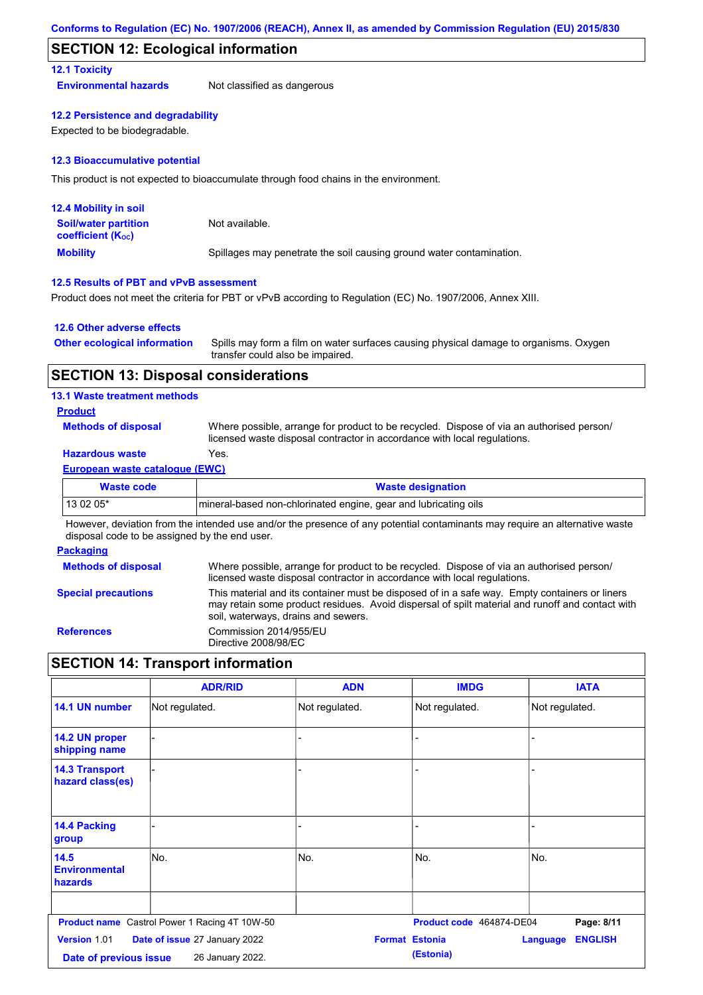### **SECTION 12: Ecological information**

### **12.1 Toxicity**

**Environmental hazards** Not classified as dangerous

### **12.2 Persistence and degradability**

Expected to be biodegradable.

### **12.3 Bioaccumulative potential**

This product is not expected to bioaccumulate through food chains in the environment.

| <b>12.4 Mobility in soil</b>                                  |                                                                      |
|---------------------------------------------------------------|----------------------------------------------------------------------|
| <b>Soil/water partition</b><br>coefficient (K <sub>oc</sub> ) | Not available.                                                       |
| <b>Mobility</b>                                               | Spillages may penetrate the soil causing ground water contamination. |

### **12.5 Results of PBT and vPvB assessment**

Product does not meet the criteria for PBT or vPvB according to Regulation (EC) No. 1907/2006, Annex XIII.

### **12.6 Other adverse effects**

| <b>Other ecological information</b> | Spills may form a film on water surfaces causing physical damage to organisms. Oxygen |
|-------------------------------------|---------------------------------------------------------------------------------------|
|                                     | transfer could also be impaired.                                                      |

### **SECTION 13: Disposal considerations**

### **13.1 Waste treatment methods**

### **Product**

**Methods of disposal**

Where possible, arrange for product to be recycled. Dispose of via an authorised person/ licensed waste disposal contractor in accordance with local regulations.

### **Hazardous waste** Yes.

### **European waste catalogue (EWC)**

| Waste code | <b>Waste designation</b>                                        |
|------------|-----------------------------------------------------------------|
| 13 02 05*  | mineral-based non-chlorinated engine, gear and lubricating oils |

However, deviation from the intended use and/or the presence of any potential contaminants may require an alternative waste disposal code to be assigned by the end user.

### **Packaging**

| <b>Methods of disposal</b> | Where possible, arrange for product to be recycled. Dispose of via an authorised person/<br>licensed waste disposal contractor in accordance with local regulations.                                                                    |
|----------------------------|-----------------------------------------------------------------------------------------------------------------------------------------------------------------------------------------------------------------------------------------|
| <b>Special precautions</b> | This material and its container must be disposed of in a safe way. Empty containers or liners<br>may retain some product residues. Avoid dispersal of spilt material and runoff and contact with<br>soil, waterways, drains and sewers. |
| <b>References</b>          | Commission 2014/955/EU<br>Directive 2008/98/EC                                                                                                                                                                                          |

# **SECTION 14: Transport information**

|                                           | <b>ADR/RID</b>                                       | <b>ADN</b>            | <b>IMDG</b>              | <b>IATA</b>                       |
|-------------------------------------------|------------------------------------------------------|-----------------------|--------------------------|-----------------------------------|
| 14.1 UN number                            | Not regulated.                                       | Not regulated.        | Not regulated.           | Not regulated.                    |
| 14.2 UN proper<br>shipping name           |                                                      | -                     |                          |                                   |
| <b>14.3 Transport</b><br>hazard class(es) |                                                      |                       |                          |                                   |
| <b>14.4 Packing</b><br>group              |                                                      |                       |                          |                                   |
| 14.5<br><b>Environmental</b><br>hazards   | No.                                                  | No.                   | No.                      | No.                               |
|                                           | <b>Product name</b> Castrol Power 1 Racing 4T 10W-50 |                       | Product code 464874-DE04 | Page: 8/11                        |
| Version 1.01<br>Date of previous issue    | Date of issue 27 January 2022<br>26 January 2022.    | <b>Format Estonia</b> | (Estonia)                | <b>ENGLISH</b><br><b>Language</b> |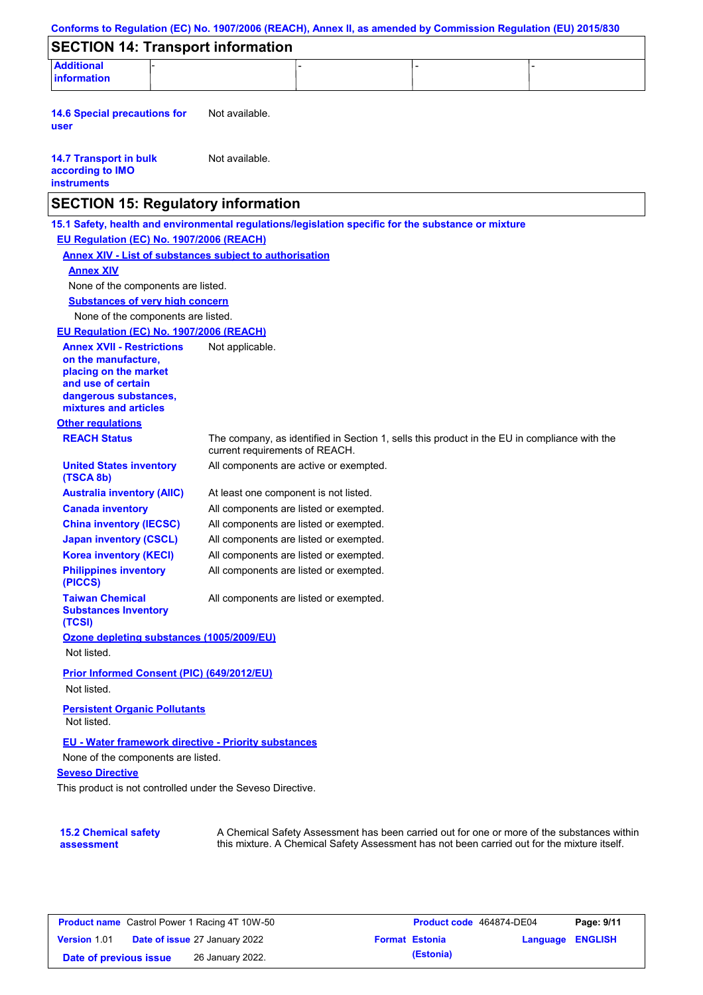| <b>Additional</b><br><b>information</b>                                                             |                                       |                                        |                                                                                              |
|-----------------------------------------------------------------------------------------------------|---------------------------------------|----------------------------------------|----------------------------------------------------------------------------------------------|
|                                                                                                     |                                       |                                        |                                                                                              |
| <b>14.6 Special precautions for</b><br>user                                                         | Not available.                        |                                        |                                                                                              |
| <b>14.7 Transport in bulk</b><br>according to IMO<br><b>instruments</b>                             | Not available.                        |                                        |                                                                                              |
| <b>SECTION 15: Regulatory information</b>                                                           |                                       |                                        |                                                                                              |
| 15.1 Safety, health and environmental regulations/legislation specific for the substance or mixture |                                       |                                        |                                                                                              |
| EU Regulation (EC) No. 1907/2006 (REACH)                                                            |                                       |                                        |                                                                                              |
| <b>Annex XIV - List of substances subject to authorisation</b><br><b>Annex XIV</b>                  |                                       |                                        |                                                                                              |
| None of the components are listed.                                                                  |                                       |                                        |                                                                                              |
| <b>Substances of very high concern</b>                                                              |                                       |                                        |                                                                                              |
| None of the components are listed.                                                                  |                                       |                                        |                                                                                              |
| EU Regulation (EC) No. 1907/2006 (REACH)                                                            |                                       |                                        |                                                                                              |
| <b>Annex XVII - Restrictions</b>                                                                    | Not applicable.                       |                                        |                                                                                              |
| on the manufacture.<br>placing on the market                                                        |                                       |                                        |                                                                                              |
| and use of certain<br>dangerous substances,<br>mixtures and articles                                |                                       |                                        |                                                                                              |
| <b>Other regulations</b>                                                                            |                                       |                                        |                                                                                              |
| <b>REACH Status</b>                                                                                 | current requirements of REACH.        |                                        | The company, as identified in Section 1, sells this product in the EU in compliance with the |
| <b>United States inventory</b><br>(TSCA 8b)                                                         |                                       | All components are active or exempted. |                                                                                              |
| <b>Australia inventory (AIIC)</b>                                                                   | At least one component is not listed. |                                        |                                                                                              |
| <b>Canada inventory</b>                                                                             |                                       | All components are listed or exempted. |                                                                                              |
| <b>China inventory (IECSC)</b>                                                                      |                                       | All components are listed or exempted. |                                                                                              |
| <b>Japan inventory (CSCL)</b>                                                                       |                                       | All components are listed or exempted. |                                                                                              |
| <b>Korea inventory (KECI)</b>                                                                       |                                       | All components are listed or exempted. |                                                                                              |
| <b>Philippines inventory</b><br>(PICCS)                                                             |                                       | All components are listed or exempted. |                                                                                              |
| <b>Taiwan Chemical</b><br><b>Substances Inventory</b><br>(TCSI)                                     |                                       | All components are listed or exempted. |                                                                                              |
| Ozone depleting substances (1005/2009/EU)<br>Not listed.                                            |                                       |                                        |                                                                                              |
| Prior Informed Consent (PIC) (649/2012/EU)<br>Not listed.                                           |                                       |                                        |                                                                                              |
| <b>Persistent Organic Pollutants</b><br>Not listed.                                                 |                                       |                                        |                                                                                              |
| EU - Water framework directive - Priority substances                                                |                                       |                                        |                                                                                              |
| None of the components are listed.<br><b>Seveso Directive</b>                                       |                                       |                                        |                                                                                              |
| This product is not controlled under the Seveso Directive.                                          |                                       |                                        |                                                                                              |

| <b>Product name</b> Castrol Power 1 Racing 4T 10W-50 |                                      |                  |  | Product code 464874-DE04 | Page: 9/11              |  |
|------------------------------------------------------|--------------------------------------|------------------|--|--------------------------|-------------------------|--|
| <b>Version 1.01</b>                                  | <b>Date of issue 27 January 2022</b> |                  |  | <b>Format Estonia</b>    | <b>Language ENGLISH</b> |  |
| Date of previous issue                               |                                      | 26 January 2022. |  | (Estonia)                |                         |  |

this mixture. A Chemical Safety Assessment has not been carried out for the mixture itself.

**assessment**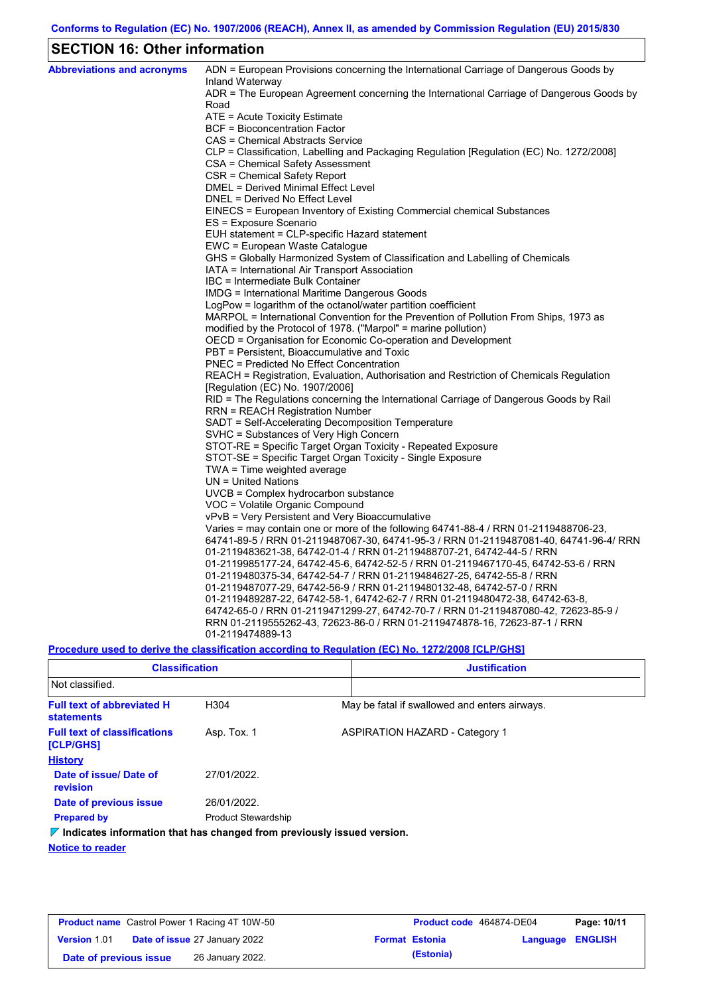# **SECTION 16: Other information**

| <b>Abbreviations and acronyms</b> | ADN = European Provisions concerning the International Carriage of Dangerous Goods by<br>Inland Waterway |
|-----------------------------------|----------------------------------------------------------------------------------------------------------|
|                                   | ADR = The European Agreement concerning the International Carriage of Dangerous Goods by<br>Road         |
|                                   | ATE = Acute Toxicity Estimate                                                                            |
|                                   | <b>BCF</b> = Bioconcentration Factor                                                                     |
|                                   | CAS = Chemical Abstracts Service                                                                         |
|                                   | CLP = Classification, Labelling and Packaging Regulation [Regulation (EC) No. 1272/2008]                 |
|                                   | CSA = Chemical Safety Assessment                                                                         |
|                                   | CSR = Chemical Safety Report                                                                             |
|                                   | DMEL = Derived Minimal Effect Level                                                                      |
|                                   | DNEL = Derived No Effect Level                                                                           |
|                                   | EINECS = European Inventory of Existing Commercial chemical Substances                                   |
|                                   | ES = Exposure Scenario                                                                                   |
|                                   | EUH statement = CLP-specific Hazard statement                                                            |
|                                   | EWC = European Waste Catalogue                                                                           |
|                                   | GHS = Globally Harmonized System of Classification and Labelling of Chemicals                            |
|                                   | IATA = International Air Transport Association                                                           |
|                                   | IBC = Intermediate Bulk Container                                                                        |
|                                   | IMDG = International Maritime Dangerous Goods                                                            |
|                                   | LogPow = logarithm of the octanol/water partition coefficient                                            |
|                                   | MARPOL = International Convention for the Prevention of Pollution From Ships, 1973 as                    |
|                                   | modified by the Protocol of 1978. ("Marpol" = marine pollution)                                          |
|                                   | OECD = Organisation for Economic Co-operation and Development                                            |
|                                   | PBT = Persistent, Bioaccumulative and Toxic                                                              |
|                                   | <b>PNEC</b> = Predicted No Effect Concentration                                                          |
|                                   | REACH = Registration, Evaluation, Authorisation and Restriction of Chemicals Regulation                  |
|                                   | [Regulation (EC) No. 1907/2006]                                                                          |
|                                   | RID = The Regulations concerning the International Carriage of Dangerous Goods by Rail                   |
|                                   | RRN = REACH Registration Number                                                                          |
|                                   | SADT = Self-Accelerating Decomposition Temperature<br>SVHC = Substances of Very High Concern             |
|                                   | STOT-RE = Specific Target Organ Toxicity - Repeated Exposure                                             |
|                                   | STOT-SE = Specific Target Organ Toxicity - Single Exposure                                               |
|                                   | $TWA = Time$ weighted average                                                                            |
|                                   | $UN = United Nations$                                                                                    |
|                                   | $UVCB = Complex\;hydrocarbon\; substance$                                                                |
|                                   | VOC = Volatile Organic Compound                                                                          |
|                                   | vPvB = Very Persistent and Very Bioaccumulative                                                          |
|                                   | Varies = may contain one or more of the following $64741-88-4$ / RRN 01-2119488706-23,                   |
|                                   | 64741-89-5 / RRN 01-2119487067-30, 64741-95-3 / RRN 01-2119487081-40, 64741-96-4/ RRN                    |
|                                   | 01-2119483621-38, 64742-01-4 / RRN 01-2119488707-21, 64742-44-5 / RRN                                    |
|                                   | 01-2119985177-24, 64742-45-6, 64742-52-5 / RRN 01-2119467170-45, 64742-53-6 / RRN                        |
|                                   | 01-2119480375-34, 64742-54-7 / RRN 01-2119484627-25, 64742-55-8 / RRN                                    |
|                                   | 01-2119487077-29, 64742-56-9 / RRN 01-2119480132-48, 64742-57-0 / RRN                                    |
|                                   | 01-2119489287-22, 64742-58-1, 64742-62-7 / RRN 01-2119480472-38, 64742-63-8,                             |
|                                   | 64742-65-0 / RRN 01-2119471299-27, 64742-70-7 / RRN 01-2119487080-42, 72623-85-9 /                       |
|                                   | RRN 01-2119555262-43, 72623-86-0 / RRN 01-2119474878-16, 72623-87-1 / RRN                                |
|                                   | 01-2119474889-13                                                                                         |
|                                   |                                                                                                          |

**Procedure used to derive the classification according to Regulation (EC) No. 1272/2008 [CLP/GHS]**

| <b>Classification</b>                                                           |                            | <b>Justification</b>                          |
|---------------------------------------------------------------------------------|----------------------------|-----------------------------------------------|
| Not classified.                                                                 |                            |                                               |
| <b>Full text of abbreviated H</b><br><b>statements</b>                          | H304                       | May be fatal if swallowed and enters airways. |
| <b>Full text of classifications</b><br><b>[CLP/GHS]</b>                         | Asp. Tox. 1                | <b>ASPIRATION HAZARD - Category 1</b>         |
| <b>History</b>                                                                  |                            |                                               |
| Date of issue/ Date of<br>revision                                              | 27/01/2022.                |                                               |
| Date of previous issue                                                          | 26/01/2022.                |                                               |
| <b>Prepared by</b>                                                              | <b>Product Stewardship</b> |                                               |
| $\nabla$ Indicates information that has changed from previously issued version. |                            |                                               |

**Notice to reader**

| <b>Product name</b> Castrol Power 1 Racing 4T 10W-50 |  |                                      | Product code 464874-DE04 |                       | Page: 10/11      |  |
|------------------------------------------------------|--|--------------------------------------|--------------------------|-----------------------|------------------|--|
| <b>Version 1.01</b>                                  |  | <b>Date of issue 27 January 2022</b> |                          | <b>Format Estonia</b> | Language ENGLISH |  |
| Date of previous issue                               |  | 26 January 2022.                     |                          | (Estonia)             |                  |  |